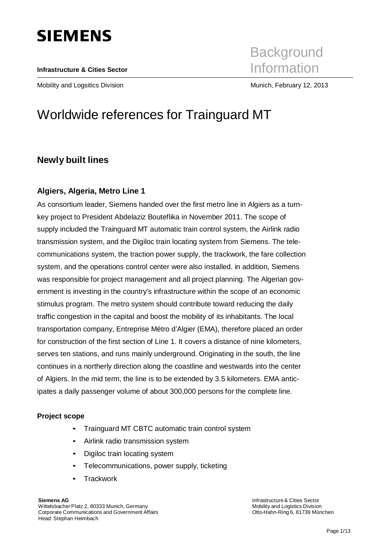# **SIEMENS**

#### **Infrastructure & Cities Sector**

**Background** Information

Mobility and Logsitics Division Munich, February 12, 2013

## Worldwide references for Trainguard MT

### **Newly built lines**

### **Algiers, Algeria, Metro Line 1**

As consortium leader, Siemens handed over the first metro line in Algiers as a turnkey project to President Abdelaziz Bouteflika in November 2011. The scope of supply included the Trainguard MT automatic train control system, the Airlink radio transmission system, and the Digiloc train locating system from Siemens. The telecommunications system, the traction power supply, the trackwork, the fare collection system, and the operations control center were also installed. in addition, Siemens was responsible for project management and all project planning. The Algerian government is investing in the country's infrastructure within the scope of an economic stimulus program. The metro system should contribute toward reducing the daily traffic congestion in the capital and boost the mobility of its inhabitants. The local transportation company, Entreprise Métro d'Algier (EMA), therefore placed an order for construction of the first section of Line 1. It covers a distance of nine kilometers, serves ten stations, and runs mainly underground. Originating in the south, the line continues in a northerly direction along the coastline and westwards into the center of Algiers. In the mid term, the line is to be extended by 3.5 kilometers. EMA anticipates a daily passenger volume of about 300,000 persons for the complete line.

#### **Project scope**

- Trainguard MT CBTC automatic train control system
- Airlink radio transmission system
- Digiloc train locating system
- Telecommunications, power supply, ticketing
- **Trackwork**

**Siemens AG** Wittelsbacher Platz 2, 80333 Munich, Germany Corporate Communications and Government Affairs Head: Stephan Heimbach

Infrastructure& Cities Sector Mobility and Logistics Division Otto-Hahn-Ring 6, 81739 München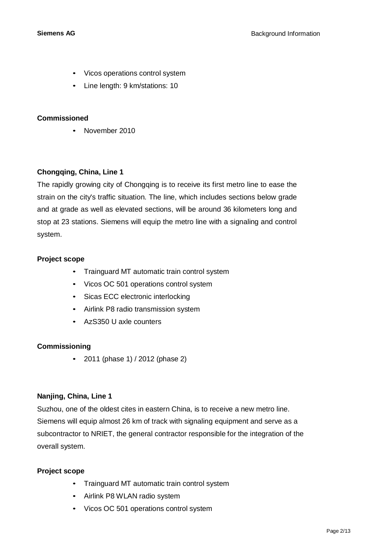- Vicos operations control system
- Line length: 9 km/stations: 10

• November 2010

#### **Chongqing, China, Line 1**

The rapidly growing city of Chongqing is to receive its first metro line to ease the strain on the city's traffic situation. The line, which includes sections below grade and at grade as well as elevated sections, will be around 36 kilometers long and stop at 23 stations. Siemens will equip the metro line with a signaling and control system.

#### **Project scope**

- Trainguard MT automatic train control system
- Vicos OC 501 operations control system
- Sicas ECC electronic interlocking
- Airlink P8 radio transmission system
- AzS350 U axle counters

#### **Commissioning**

• 2011 (phase 1) / 2012 (phase 2)

#### **Nanjing, China, Line 1**

Suzhou, one of the oldest cites in eastern China, is to receive a new metro line. Siemens will equip almost 26 km of track with signaling equipment and serve as a subcontractor to NRIET, the general contractor responsible for the integration of the overall system.

#### **Project scope**

- Trainguard MT automatic train control system
- Airlink P8 WLAN radio system
- Vicos OC 501 operations control system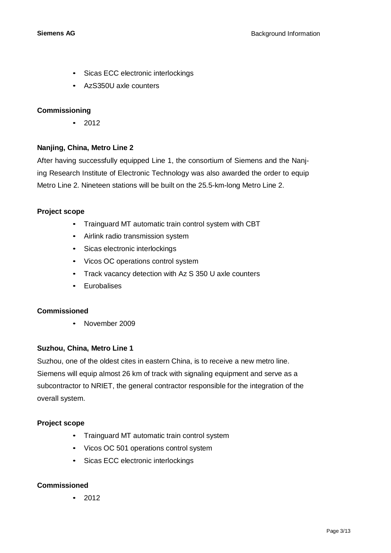- Sicas ECC electronic interlockings
- AzS350U axle counters

#### **Commissioning**

• 2012

#### **Nanjing, China, Metro Line 2**

After having successfully equipped Line 1, the consortium of Siemens and the Nanjing Research Institute of Electronic Technology was also awarded the order to equip Metro Line 2. Nineteen stations will be built on the 25.5-km-long Metro Line 2.

#### **Project scope**

- Trainguard MT automatic train control system with CBT
- Airlink radio transmission system
- Sicas electronic interlockings
- Vicos OC operations control system
- Track vacancy detection with Az S 350 U axle counters
- Eurobalises

#### **Commissioned**

• November 2009

#### **Suzhou, China, Metro Line 1**

Suzhou, one of the oldest cites in eastern China, is to receive a new metro line. Siemens will equip almost 26 km of track with signaling equipment and serve as a subcontractor to NRIET, the general contractor responsible for the integration of the overall system.

#### **Project scope**

- Trainguard MT automatic train control system
- Vicos OC 501 operations control system
- Sicas ECC electronic interlockings

#### **Commissioned**

• 2012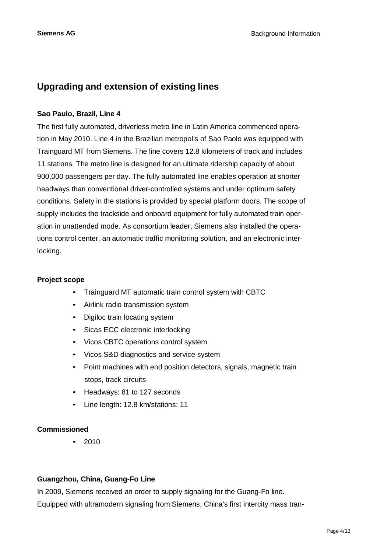### **Upgrading and extension of existing lines**

#### **Sao Paulo, Brazil, Line 4**

The first fully automated, driverless metro line in Latin America commenced operation in May 2010. Line 4 in the Brazilian metropolis of Sao Paolo was equipped with Trainguard MT from Siemens. The line covers 12.8 kilometers of track and includes 11 stations. The metro line is designed for an ultimate ridership capacity of about 900,000 passengers per day. The fully automated line enables operation at shorter headways than conventional driver-controlled systems and under optimum safety conditions. Safety in the stations is provided by special platform doors. The scope of supply includes the trackside and onboard equipment for fully automated train operation in unattended mode. As consortium leader, Siemens also installed the operations control center, an automatic traffic monitoring solution, and an electronic interlocking.

#### **Project scope**

- Trainguard MT automatic train control system with CBTC
- Airlink radio transmission system
- Digiloc train locating system
- Sicas ECC electronic interlocking
- Vicos CBTC operations control system
- Vicos S&D diagnostics and service system
- Point machines with end position detectors, signals, magnetic train stops, track circuits
- Headways: 81 to 127 seconds
- Line length: 12.8 km/stations: 11

#### **Commissioned**

• 2010

#### **Guangzhou, China, Guang-Fo Line**

In 2009, Siemens received an order to supply signaling for the Guang-Fo line. Equipped with ultramodern signaling from Siemens, China's first intercity mass tran-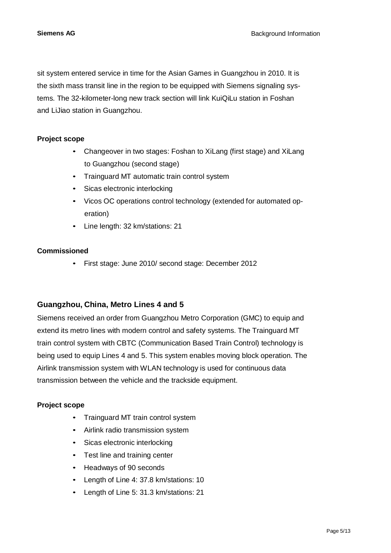sit system entered service in time for the Asian Games in Guangzhou in 2010. It is the sixth mass transit line in the region to be equipped with Siemens signaling systems. The 32-kilometer-long new track section will link KuiQiLu station in Foshan and LiJiao station in Guangzhou.

#### **Project scope**

- Changeover in two stages: Foshan to XiLang (first stage) and XiLang to Guangzhou (second stage)
- Trainguard MT automatic train control system
- Sicas electronic interlocking
- Vicos OC operations control technology (extended for automated operation)
- Line length: 32 km/stations: 21

#### **Commissioned**

• First stage: June 2010/ second stage: December 2012

### **Guangzhou, China, Metro Lines 4 and 5**

Siemens received an order from Guangzhou Metro Corporation (GMC) to equip and extend its metro lines with modern control and safety systems. The Trainguard MT train control system with CBTC (Communication Based Train Control) technology is being used to equip Lines 4 and 5. This system enables moving block operation. The Airlink transmission system with WLAN technology is used for continuous data transmission between the vehicle and the trackside equipment.

#### **Project scope**

- Trainguard MT train control system
- Airlink radio transmission system
- Sicas electronic interlocking
- Test line and training center
- Headways of 90 seconds
- Length of Line 4: 37.8 km/stations: 10
- Length of Line 5: 31.3 km/stations: 21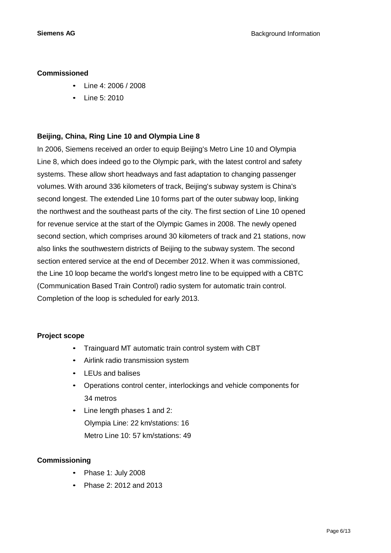- Line 4: 2006 / 2008
- Line 5: 2010

#### **Beijing, China, Ring Line 10 and Olympia Line 8**

In 2006, Siemens received an order to equip Beijing's Metro Line 10 and Olympia Line 8, which does indeed go to the Olympic park, with the latest control and safety systems. These allow short headways and fast adaptation to changing passenger volumes. With around 336 kilometers of track, Beijing's subway system is China's second longest. The extended Line 10 forms part of the outer subway loop, linking the northwest and the southeast parts of the city. The first section of Line 10 opened for revenue service at the start of the Olympic Games in 2008. The newly opened second section, which comprises around 30 kilometers of track and 21 stations, now also links the southwestern districts of Beijing to the subway system. The second section entered service at the end of December 2012. When it was commissioned, the Line 10 loop became the world's longest metro line to be equipped with a CBTC (Communication Based Train Control) radio system for automatic train control. Completion of the loop is scheduled for early 2013.

#### **Project scope**

- Trainguard MT automatic train control system with CBT
- Airlink radio transmission system
- LEUs and balises
- Operations control center, interlockings and vehicle components for 34 metros
- Line length phases 1 and 2: Olympia Line: 22 km/stations: 16 Metro Line 10: 57 km/stations: 49

### **Commissioning**

- Phase 1: July 2008
- Phase 2: 2012 and 2013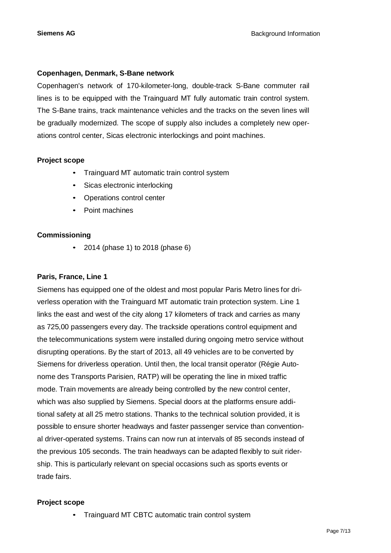#### **Copenhagen, Denmark, S-Bane network**

Copenhagen's network of 170-kilometer-long, double-track S-Bane commuter rail lines is to be equipped with the Trainguard MT fully automatic train control system. The S-Bane trains, track maintenance vehicles and the tracks on the seven lines will be gradually modernized. The scope of supply also includes a completely new operations control center, Sicas electronic interlockings and point machines.

#### **Project scope**

- Trainguard MT automatic train control system
- Sicas electronic interlocking
- Operations control center
- Point machines

#### **Commissioning**

• 2014 (phase 1) to 2018 (phase 6)

#### **Paris, France, Line 1**

Siemens has equipped one of the oldest and most popular Paris Metro lines for driverless operation with the Trainguard MT automatic train protection system. Line 1 links the east and west of the city along 17 kilometers of track and carries as many as 725,00 passengers every day. The trackside operations control equipment and the telecommunications system were installed during ongoing metro service without disrupting operations. By the start of 2013, all 49 vehicles are to be converted by Siemens for driverless operation. Until then, the local transit operator (Régie Autonome des Transports Parisien, RATP) will be operating the line in mixed traffic mode. Train movements are already being controlled by the new control center, which was also supplied by Siemens. Special doors at the platforms ensure additional safety at all 25 metro stations. Thanks to the technical solution provided, it is possible to ensure shorter headways and faster passenger service than conventional driver-operated systems. Trains can now run at intervals of 85 seconds instead of the previous 105 seconds. The train headways can be adapted flexibly to suit ridership. This is particularly relevant on special occasions such as sports events or trade fairs.

#### **Project scope**

• Trainguard MT CBTC automatic train control system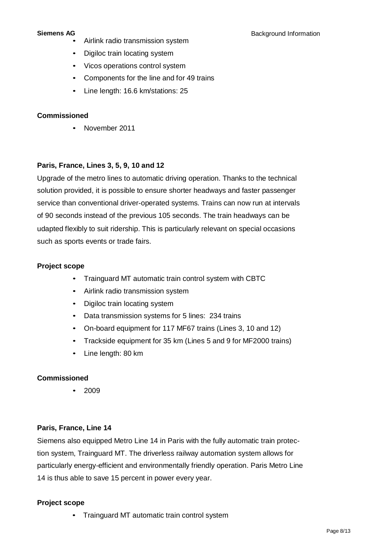- Airlink radio transmission system
- Digiloc train locating system
- Vicos operations control system
- Components for the line and for 49 trains
- Line length: 16.6 km/stations: 25

• November 2011

#### **Paris, France, Lines 3, 5, 9, 10 and 12**

Upgrade of the metro lines to automatic driving operation. Thanks to the technical solution provided, it is possible to ensure shorter headways and faster passenger service than conventional driver-operated systems. Trains can now run at intervals of 90 seconds instead of the previous 105 seconds. The train headways can be udapted flexibly to suit ridership. This is particularly relevant on special occasions such as sports events or trade fairs.

#### **Project scope**

- Trainguard MT automatic train control system with CBTC
- Airlink radio transmission system
- Digiloc train locating system
- Data transmission systems for 5 lines: 234 trains
- On-board equipment for 117 MF67 trains (Lines 3, 10 and 12)
- Trackside equipment for 35 km (Lines 5 and 9 for MF2000 trains)
- Line length: 80 km

#### **Commissioned**

• 2009

#### **Paris, France, Line 14**

Siemens also equipped Metro Line 14 in Paris with the fully automatic train protection system, Trainguard MT. The driverless railway automation system allows for particularly energy-efficient and environmentally friendly operation. Paris Metro Line 14 is thus able to save 15 percent in power every year.

#### **Project scope**

• Trainguard MT automatic train control system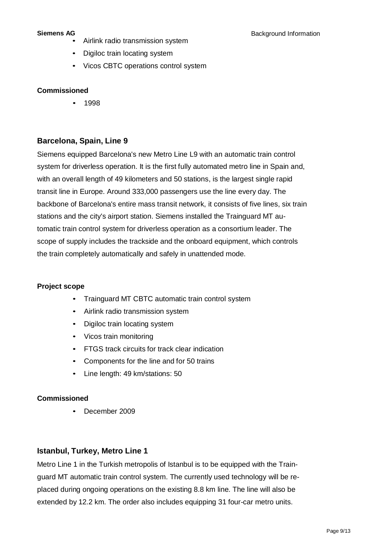- Airlink radio transmission system
- Digiloc train locating system
- Vicos CBTC operations control system

• 1998

### **Barcelona, Spain, Line 9**

Siemens equipped Barcelona's new Metro Line L9 with an automatic train control system for driverless operation. It is the first fully automated metro line in Spain and, with an overall length of 49 kilometers and 50 stations, is the largest single rapid transit line in Europe. Around 333,000 passengers use the line every day. The backbone of Barcelona's entire mass transit network, it consists of five lines, six train stations and the city's airport station. Siemens installed the Trainguard MT automatic train control system for driverless operation as a consortium leader. The scope of supply includes the trackside and the onboard equipment, which controls the train completely automatically and safely in unattended mode.

#### **Project scope**

- Trainguard MT CBTC automatic train control system
- Airlink radio transmission system
- Digiloc train locating system
- Vicos train monitoring
- FTGS track circuits for track clear indication
- Components for the line and for 50 trains
- Line length: 49 km/stations: 50

#### **Commissioned**

• December 2009

#### **Istanbul, Turkey, Metro Line 1**

Metro Line 1 in the Turkish metropolis of Istanbul is to be equipped with the Trainguard MT automatic train control system. The currently used technology will be replaced during ongoing operations on the existing 8.8 km line. The line will also be extended by 12.2 km. The order also includes equipping 31 four-car metro units.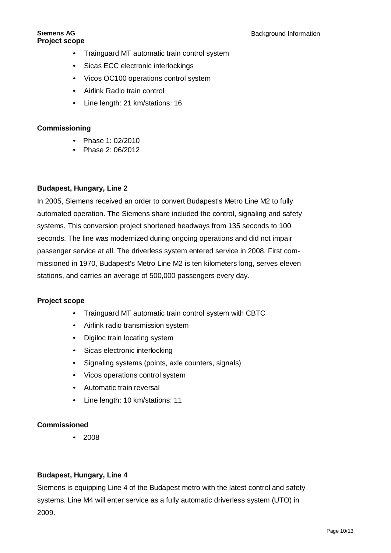- Trainguard MT automatic train control system
- Sicas ECC electronic interlockings
- Vicos OC100 operations control system
- Airlink Radio train control
- Line length: 21 km/stations: 16

#### **Commissioning**

- Phase 1: 02/2010
- Phase 2: 06/2012

#### **Budapest, Hungary, Line 2**

In 2005, Siemens received an order to convert Budapest's Metro Line M2 to fully automated operation. The Siemens share included the control, signaling and safety systems. This conversion project shortened headways from 135 seconds to 100 seconds. The line was modernized during ongoing operations and did not impair passenger service at all. The driverless system entered service in 2008. First commissioned in 1970, Budapest's Metro Line M2 is ten kilometers long, serves eleven stations, and carries an average of 500,000 passengers every day.

#### **Project scope**

- Trainguard MT automatic train control system with CBTC
- Airlink radio transmission system
- Digiloc train locating system
- Sicas electronic interlocking
- Signaling systems (points, axle counters, signals)
- Vicos operations control system
- Automatic train reversal
- Line length: 10 km/stations: 11

#### **Commissioned**

• 2008

#### **Budapest, Hungary, Line 4**

Siemens is equipping Line 4 of the Budapest metro with the latest control and safety systems. Line M4 will enter service as a fully automatic driverless system (UTO) in 2009.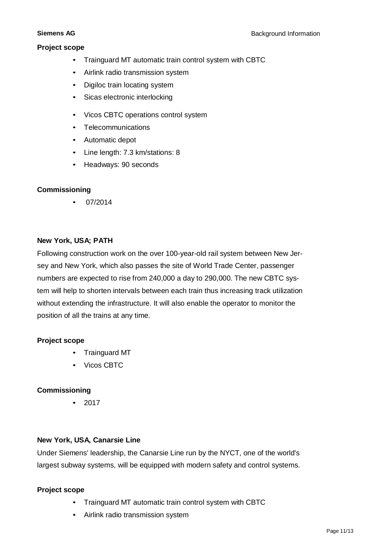#### **Project scope**

- Trainguard MT automatic train control system with CBTC
- Airlink radio transmission system
- Digiloc train locating system
- Sicas electronic interlocking
- Vicos CBTC operations control system
- Telecommunications
- Automatic depot
- Line length: 7.3 km/stations: 8
- Headways: 90 seconds

#### **Commissioning**

• 07/2014

#### **New York, USA; PATH**

Following construction work on the over 100-year-old rail system between New Jersey and New York, which also passes the site of World Trade Center, passenger numbers are expected to rise from 240,000 a day to 290,000. The new CBTC system will help to shorten intervals between each train thus increasing track utilization without extending the infrastructure. It will also enable the operator to monitor the position of all the trains at any time.

#### **Project scope**

- Trainguard MT
- Vicos CBTC

#### **Commissioning**

• 2017

#### **New York, USA, Canarsie Line**

Under Siemens' leadership, the Canarsie Line run by the NYCT, one of the world's largest subway systems, will be equipped with modern safety and control systems.

#### **Project scope**

- Trainguard MT automatic train control system with CBTC
- Airlink radio transmission system